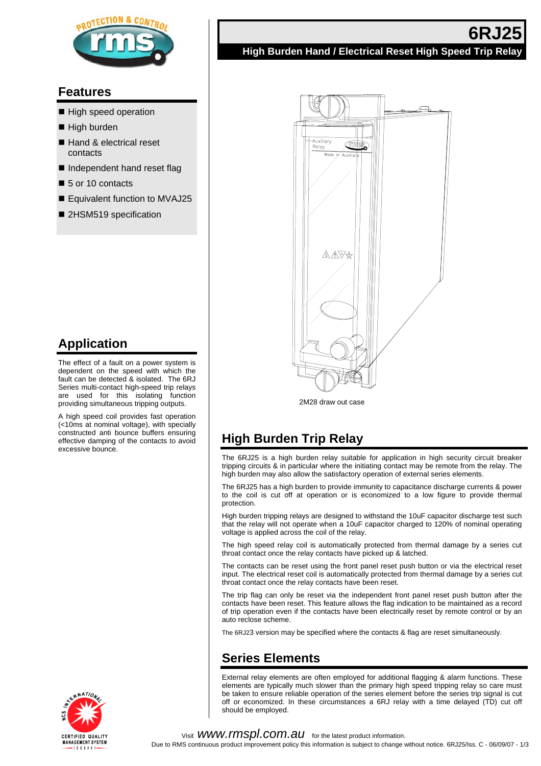

# **Features**

- High speed operation
- $\blacksquare$  High burden
- Hand & electrical reset contacts
- Independent hand reset flag
- 5 or 10 contacts
- Equivalent function to MVAJ25
- 2HSM519 specification

# **Application**

The effect of a fault on a power system is dependent on the speed with which the fault can be detected & isolated. The 6RJ Series multi-contact high-speed trip relays are used for this isolating function providing simultaneous tripping outputs.

A high speed coil provides fast operation (<10ms at nominal voltage), with specially constructed anti bounce buffers ensuring effective damping of the contacts to avoid excessive bounce.



# **6RJ25 High Burden Hand / Electrical Reset High Speed Trip Relay**



2M28 draw out case

# **High Burden Trip Relay**

The 6RJ25 is a high burden relay suitable for application in high security circuit breaker tripping circuits & in particular where the initiating contact may be remote from the relay. The high burden may also allow the satisfactory operation of external series elements.

The 6RJ25 has a high burden to provide immunity to capacitance discharge currents & power to the coil is cut off at operation or is economized to a low figure to provide thermal protection.

High burden tripping relays are designed to withstand the 10uF capacitor discharge test such that the relay will not operate when a 10uF capacitor charged to 120% of nominal operating voltage is applied across the coil of the relay.

The high speed relay coil is automatically protected from thermal damage by a series cut throat contact once the relay contacts have picked up & latched.

The contacts can be reset using the front panel reset push button or via the electrical reset input. The electrical reset coil is automatically protected from thermal damage by a series cut throat contact once the relay contacts have been reset.

The trip flag can only be reset via the independent front panel reset push button after the contacts have been reset. This feature allows the flag indication to be maintained as a record of trip operation even if the contacts have been electrically reset by remote control or by an auto reclose scheme.

The 6RJ23 version may be specified where the contacts & flag are reset simultaneously.

# **Series Elements**

External relay elements are often employed for additional flagging & alarm functions. These elements are typically much slower than the primary high speed tripping relay so care must be taken to ensure reliable operation of the series element before the series trip signal is cut off or economized. In these circumstances a 6RJ relay with a time delayed (TD) cut off should be employed.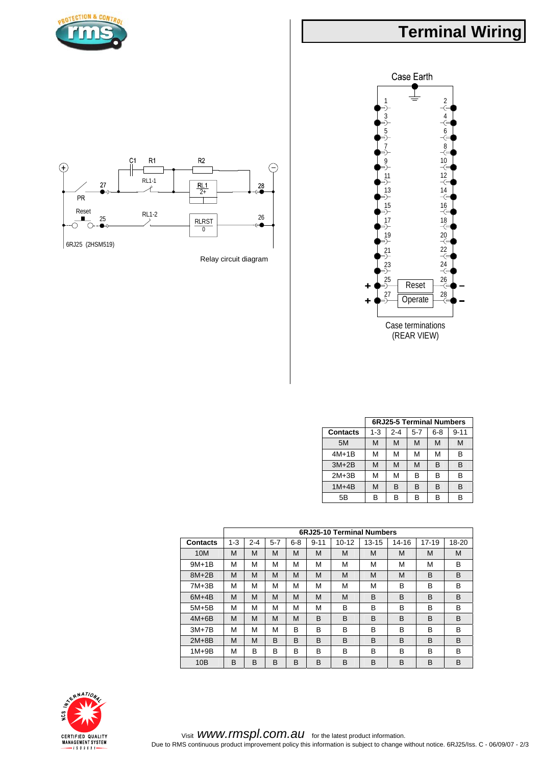# **Terminal Wiring**







Relay circuit diagram

|                 | <b>6RJ25-5 Terminal Numbers</b> |         |         |         |          |  |
|-----------------|---------------------------------|---------|---------|---------|----------|--|
| <b>Contacts</b> | $1 - 3$                         | $2 - 4$ | $5 - 7$ | $6 - 8$ | $9 - 11$ |  |
| 5M              | M                               | М       | M       | М       | M        |  |
| $4M+1B$         | М                               | М       | М       | м       | B        |  |
| $3M+2B$         | M                               | M       | M       | B       | B        |  |
| $2M+3B$         | М                               | М       | в       | B       | B        |  |
| $1M+4B$         | M                               | B       | в       | B       | в        |  |
| 5B              | B                               | в       | в       | в       | в        |  |

|                 | 6RJ25-10 Terminal Numbers |         |         |         |          |           |           |       |           |       |
|-----------------|---------------------------|---------|---------|---------|----------|-----------|-----------|-------|-----------|-------|
| <b>Contacts</b> | $1 - 3$                   | $2 - 4$ | $5 - 7$ | $6 - 8$ | $9 - 11$ | $10 - 12$ | $13 - 15$ | 14-16 | $17 - 19$ | 18-20 |
| 10M             | M                         | M       | M       | M       | M        | M         | M         | M     | M         | M     |
| $9M+1B$         | M                         | М       | М       | М       | М        | M         | М         | М     | М         | B     |
| $8M+2B$         | M                         | M       | M       | M       | M        | M         | M         | M     | B         | B     |
| $7M+3B$         | M                         | M       | М       | М       | M        | M         | М         | B     | в         | B     |
| $6M+4B$         | M                         | M       | M       | M       | M        | M         | B         | B     | B         | B     |
| $5M+5B$         | М                         | М       | М       | М       | м        | B         | В         | B     | B         | B     |
| $4M+6B$         | M                         | M       | M       | M       | B        | B         | B         | B     | B         | B     |
| $3M+7B$         | М                         | M       | М       | B       | B        | в         | В         | B     | в         | B     |
| $2M+8B$         | M                         | M       | B       | B       | B        | B         | B         | B     | B         | B     |
| $1M+9B$         | M                         | B       | В       | B       | B        | B         | B         | B     | B         | B     |
| 10B             | B                         | B       | B       | B       | B        | B         | B         | B     | B         | B     |

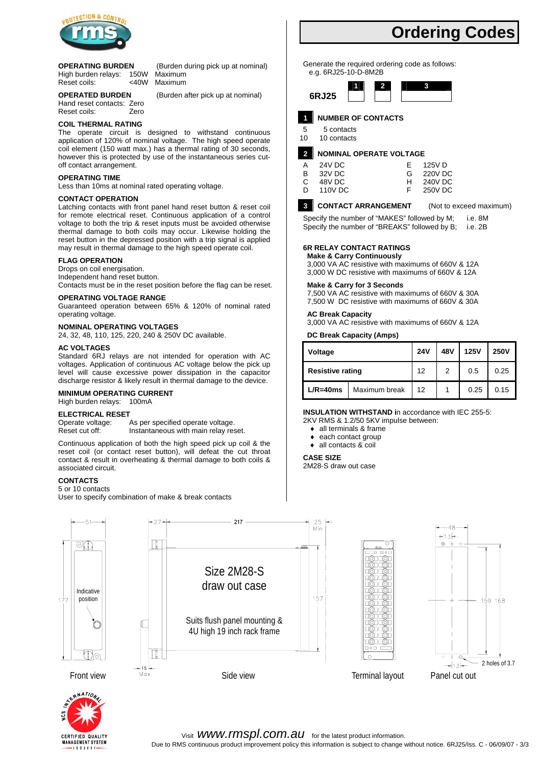

#### **OPERATING BURDEN** (Burden during pick up at nominal)

High burden relays: 150W Maximum Reset coils: <40W Maximum

**OPERATED BURDEN** (Burden after pick up at nominal) Hand reset contacts: Zero<br>Reset coils: Zero Reset coils:

## **COIL THERMAL RATING**

The operate circuit is designed to withstand continuous application of 120% of nominal voltage. The high speed operate coil element (150 watt max.) has a thermal rating of 30 seconds, however this is protected by use of the instantaneous series cutoff contact arrangement.

#### **OPERATING TIME**

Less than 10ms at nominal rated operating voltage.

#### **CONTACT OPERATION**

Latching contacts with front panel hand reset button & reset coil for remote electrical reset. Continuous application of a control voltage to both the trip & reset inputs must be avoided otherwise thermal damage to both coils may occur. Likewise holding the reset button in the depressed position with a trip signal is applied may result in thermal damage to the high speed operate coil.

#### **FLAG OPERATION**

Drops on coil energisation. Independent hand reset button. Contacts must be in the reset position before the flag can be reset.

#### **OPERATING VOLTAGE RANGE**

Guaranteed operation between 65% & 120% of nominal rated operating voltage.

#### **NOMINAL OPERATING VOLTAGES**

24, 32, 48, 110, 125, 220, 240 & 250V DC available.

#### **AC VOLTAGES**

Standard 6RJ relays are not intended for operation with AC voltages. Application of continuous AC voltage below the pick up level will cause excessive power dissipation in the capacitor discharge resistor & likely result in thermal damage to the device.

#### **MINIMUM OPERATING CURRENT**

High burden relays: 100mA

#### **ELECTRICAL RESET**

Operate voltage: As per specified operate voltage. Reset cut off: Instantaneous with main relay reset.

Continuous application of both the high speed pick up coil & the reset coil (or contact reset button), will defeat the cut throat contact & result in overheating & thermal damage to both coils & associated circuit.

#### **CONTACTS**

#### 5 or 10 contacts

User to specify combination of make & break contacts

**Ordering Codes** 

Generate the required ordering code as follows: e.g. 6RJ25-10-D-8M2B



#### **1 NUMBER OF CONTACTS**

5 5 contacts

10 10 contacts

#### **2 NOMINAL OPERATE VOLTAGE**

|    | 24V DC  | F. | 125V D  |
|----|---------|----|---------|
| B. | 32V DC  | G  | 220V DC |
| C. | 48V DC  | н  | 240V DC |
| D. | 110V DC |    | 250V DC |
|    |         |    |         |

#### **3 CONTACT ARRANGEMENT** (Not to exceed maximum)

Specify the number of "MAKES" followed by M; i.e. 8M Specify the number of "BREAKS" followed by B; i.e. 2B

### **6R RELAY CONTACT RATINGS**

#### **Make & Carry Continuously**

3,000 VA AC resistive with maximums of 660V & 12A 3,000 W DC resistive with maximums of 660V & 12A

#### **Make & Carry for 3 Seconds**

7,500 VA AC resistive with maximums of 660V & 30A 7,500 W DC resistive with maximums of 660V & 30A

#### **AC Break Capacity**

3,000 VA AC resistive with maximums of 660V & 12A

#### **DC Break Capacity (Amps)**

| Voltage                 | <b>24V</b>    | 48V | <b>125V</b> | <b>250V</b> |      |
|-------------------------|---------------|-----|-------------|-------------|------|
| <b>Resistive rating</b> |               | 12  | 2<br>0.5    |             | 0.25 |
| $L/R = 40ms$            | Maximum break | 12  |             | 0.25        | 0.15 |

#### **INSULATION WITHSTAND i**n accordance with IEC 255-5:

2KV RMS & 1.2/50 5KV impulse between:

- ♦ all terminals & frame
- ♦ each contact group
- ♦ all contacts & coil

#### **CASE SIZE**

2M28-S draw out case